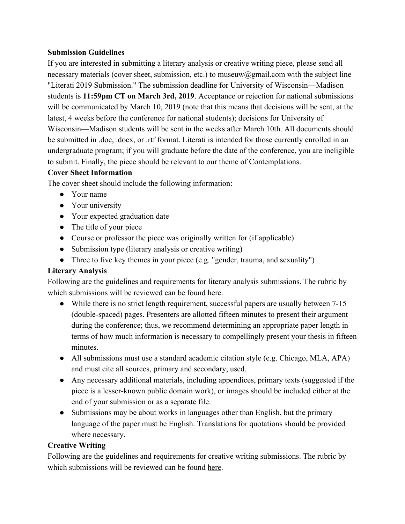## **Submission Guidelines**

If you are interested in submitting a literary analysis or creative writing piece, please send all necessary materials (cover sheet, submission, etc.) to museuw@gmail.com with the subject line "Literati 2019 Submission." The submission deadline for University of Wisconsin—Madison students is **11:59pm CT on March 3rd, 2019**. Acceptance or rejection for national submissions will be communicated by March 10, 2019 (note that this means that decisions will be sent, at the latest, 4 weeks before the conference for national students); decisions for University of Wisconsin—Madison students will be sent in the weeks after March 10th. All documents should be submitted in .doc, .docx, or .rtf format. Literati is intended for those currently enrolled in an undergraduate program; if you will graduate before the date of the conference, you are ineligible to submit. Finally, the piece should be relevant to our theme of Contemplations.

## **Cover Sheet Information**

The cover sheet should include the following information:

- Your name
- Your university
- Your expected graduation date
- The title of your piece
- Course or professor the piece was originally written for (if applicable)
- Submission type (literary analysis or creative writing)
- Three to five key themes in your piece (e.g. "gender, trauma, and sexuality")

## **Literary Analysis**

Following are the guidelines and requirements for literary analysis submissions. The rubric by which submissions will be reviewed can be found [here](https://museliterati.com/Literati_Literary_Analysis_Rubric.pdf).

- While there is no strict length requirement, successful papers are usually between 7-15 (double-spaced) pages. Presenters are allotted fifteen minutes to present their argument during the conference; thus, we recommend determining an appropriate paper length in terms of how much information is necessary to compellingly present your thesis in fifteen minutes.
- All submissions must use a standard academic citation style (e.g. Chicago, MLA, APA) and must cite all sources, primary and secondary, used.
- Any necessary additional materials, including appendices, primary texts (suggested if the piece is a lesser-known public domain work), or images should be included either at the end of your submission or as a separate file.
- Submissions may be about works in languages other than English, but the primary language of the paper must be English. Translations for quotations should be provided where necessary.

## **Creative Writing**

Following are the guidelines and requirements for creative writing submissions. The rubric by which submissions will be reviewed can be found [here](https://museliterati.com/Literati_Creative_Writing_Rubric.pdf).